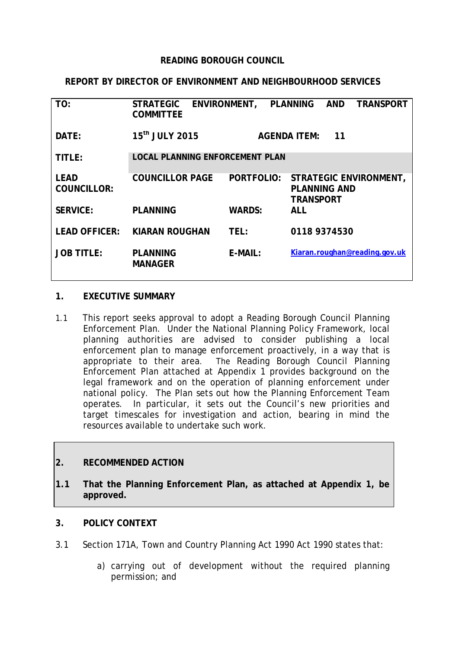### **READING BOROUGH COUNCIL**

### **REPORT BY DIRECTOR OF ENVIRONMENT AND NEIGHBOURHOOD SERVICES**

| TO:                               | <b>STRATEGIC</b><br><b>COMMITTEE</b>   | ENVIRONMENT, PLANNING |                                         | <b>AND</b> | <b>TRANSPORT</b>              |
|-----------------------------------|----------------------------------------|-----------------------|-----------------------------------------|------------|-------------------------------|
| DATE:                             | 15 <sup>th</sup> JULY 2015             |                       | <b>AGENDA ITEM:</b>                     | 11         |                               |
| TITLE:                            | <b>LOCAL PLANNING ENFORCEMENT PLAN</b> |                       |                                         |            |                               |
| <b>LEAD</b><br><b>COUNCILLOR:</b> | <b>COUNCILLOR PAGE</b>                 | <b>PORTFOLIO:</b>     | <b>PLANNING AND</b><br><b>TRANSPORT</b> |            | STRATEGIC ENVIRONMENT,        |
| <b>SERVICE:</b>                   | <b>PLANNING</b>                        | <b>WARDS:</b>         | <b>ALL</b>                              |            |                               |
| <b>LEAD OFFICER:</b>              | <b>KIARAN ROUGHAN</b>                  | TEL:                  | 0118 9374530                            |            |                               |
| <b>JOB TITLE:</b>                 | <b>PLANNING</b><br><b>MANAGER</b>      | $E-MAIL:$             |                                         |            | Kiaran.roughan@reading.gov.uk |

### **1. EXECUTIVE SUMMARY**

1.1 This report seeks approval to adopt a Reading Borough Council Planning Enforcement Plan. Under the National Planning Policy Framework, local planning authorities are advised to consider publishing a local enforcement plan to manage enforcement proactively, in a way that is appropriate to their area. The Reading Borough Council Planning Enforcement Plan attached at Appendix 1 provides background on the legal framework and on the operation of planning enforcement under national policy. The Plan sets out how the Planning Enforcement Team operates. In particular, it sets out the Council's new priorities and target timescales for investigation and action, bearing in mind the resources available to undertake such work.

## **2. RECOMMENDED ACTION**

**1.1 That the Planning Enforcement Plan, as attached at Appendix 1, be approved.**

### **3. POLICY CONTEXT**

- 3.1 Section 171A, Town and Country Planning Act 1990 Act 1990 states that:
	- a) carrying out of development without the required planning permission; and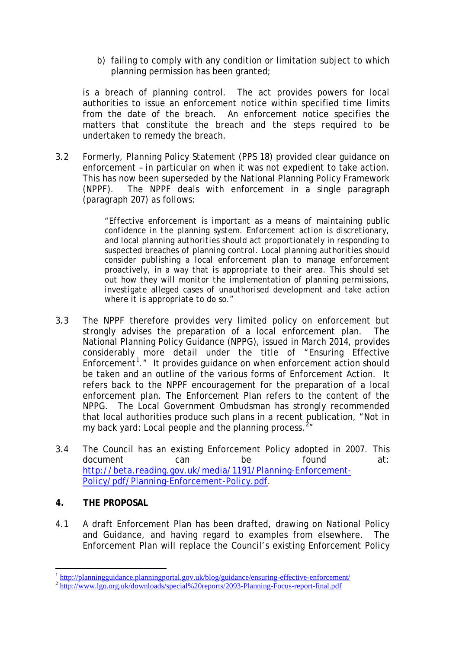b) failing to comply with any condition or limitation subject to which planning permission has been granted;

is a breach of planning control. The act provides powers for local authorities to issue an enforcement notice within specified time limits from the date of the breach. An enforcement notice specifies the matters that constitute the breach and the steps required to be undertaken to remedy the breach.

3.2 Formerly, Planning Policy Statement (PPS 18) provided clear guidance on enforcement – in particular on when it was not expedient to take action. This has now been superseded by the National Planning Policy Framework (NPPF). The NPPF deals with enforcement in a single paragraph (paragraph 207) as follows:

> *"Effective enforcement is important as a means of maintaining public confidence in the planning system. Enforcement action is discretionary, and local planning authorities should act proportionately in responding to suspected breaches of planning control. Local planning authorities should consider publishing a local enforcement plan to manage enforcement proactively, in a way that is appropriate to their area. This should set out how they will monitor the implementation of planning permissions, investigate alleged cases of unauthorised development and take action where it is appropriate to do so."*

- 3.3 The NPPF therefore provides very limited policy on enforcement but strongly advises the preparation of a local enforcement plan. The National Planning Policy Guidance (NPPG), issued in March 2014, provides considerably more detail under the title of "Ensuring Effective Enforcement<sup>[1](#page-1-0)</sup>." It provides guidance on when enforcement action should be taken and an outline of the various forms of Enforcement Action. It refers back to the NPPF encouragement for the preparation of a local enforcement plan. The Enforcement Plan refers to the content of the NPPG. The Local Government Ombudsman has strongly recommended that local authorities produce such plans in a recent publication, "Not in my back yard: Local people and the planning process.<sup>[2](#page-1-1)</sup>"
- 3.4 The Council has an existing Enforcement Policy adopted in 2007. This document can be found at: [http://beta.reading.gov.uk/media/1191/Planning-Enforcement-](http://beta.reading.gov.uk/media/1191/Planning-Enforcement-Policy/pdf/Planning-Enforcement-Policy.pdf)[Policy/pdf/Planning-Enforcement-Policy.pdf.](http://beta.reading.gov.uk/media/1191/Planning-Enforcement-Policy/pdf/Planning-Enforcement-Policy.pdf)

# **4. THE PROPOSAL**

4.1 A draft Enforcement Plan has been drafted, drawing on National Policy and Guidance, and having regard to examples from elsewhere. The Enforcement Plan will replace the Council's existing Enforcement Policy

<span id="page-1-0"></span><sup>&</sup>lt;sup>1</sup> <http://planningguidance.planningportal.gov.uk/blog/guidance/ensuring-effective-enforcement/><br><sup>2</sup> http://www.lgo.org.uk/downloads/special%20reports/2<u>093-Planning-Focus-report-final.pdf</u> <u>.</u>

<span id="page-1-1"></span>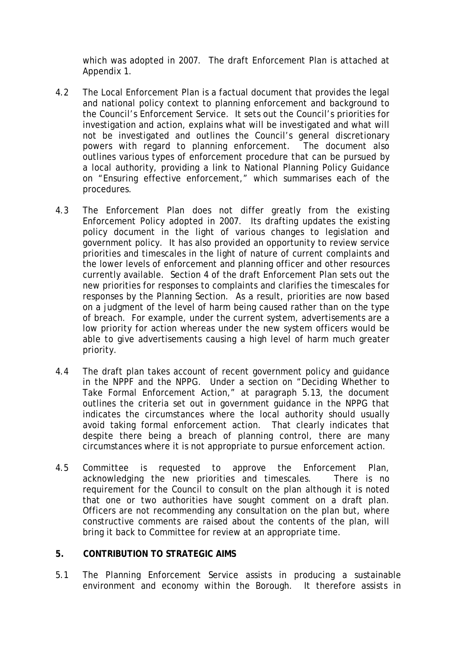which was adopted in 2007. The draft Enforcement Plan is attached at Appendix 1.

- 4.2 The Local Enforcement Plan is a factual document that provides the legal and national policy context to planning enforcement and background to the Council's Enforcement Service. It sets out the Council's priorities for investigation and action, explains what will be investigated and what will not be investigated and outlines the Council's general discretionary powers with regard to planning enforcement. The document also outlines various types of enforcement procedure that can be pursued by a local authority, providing a link to National Planning Policy Guidance on "Ensuring effective enforcement," which summarises each of the procedures.
- 4.3 The Enforcement Plan does not differ greatly from the existing Enforcement Policy adopted in 2007. Its drafting updates the existing policy document in the light of various changes to legislation and government policy. It has also provided an opportunity to review service priorities and timescales in the light of nature of current complaints and the lower levels of enforcement and planning officer and other resources currently available. Section 4 of the draft Enforcement Plan sets out the new priorities for responses to complaints and clarifies the timescales for responses by the Planning Section. As a result, priorities are now based on a judgment of the level of harm being caused rather than on the type of breach. For example, under the current system, advertisements are a low priority for action whereas under the new system officers would be able to give advertisements causing a high level of harm much greater priority.
- 4.4 The draft plan takes account of recent government policy and guidance in the NPPF and the NPPG. Under a section on "Deciding Whether to Take Formal Enforcement Action," at paragraph 5.13, the document outlines the criteria set out in government guidance in the NPPG that indicates the circumstances where the local authority should usually avoid taking formal enforcement action. That clearly indicates that despite there being a breach of planning control, there are many circumstances where it is not appropriate to pursue enforcement action.
- 4.5 Committee is requested to approve the Enforcement Plan, acknowledging the new priorities and timescales. There is no requirement for the Council to consult on the plan although it is noted that one or two authorities have sought comment on a draft plan. Officers are not recommending any consultation on the plan but, where constructive comments are raised about the contents of the plan, will bring it back to Committee for review at an appropriate time.

## **5. CONTRIBUTION TO STRATEGIC AIMS**

5.1 The Planning Enforcement Service assists in producing a sustainable environment and economy within the Borough. It therefore assists in